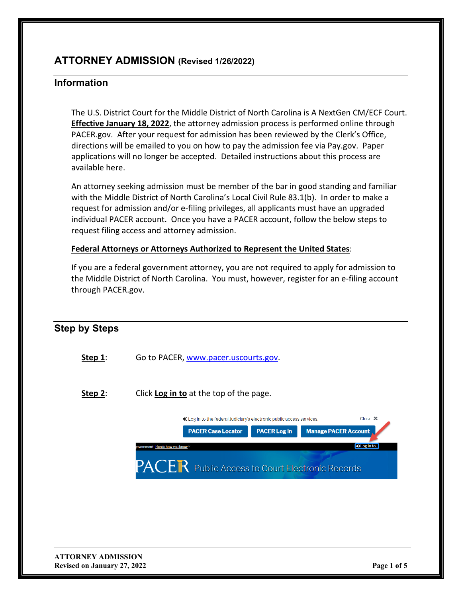# **ATTORNEY ADMISSION (Revised 1/26/2022)**

## **Information**

**Step by Steps**

The U.S. District Court for the Middle District of North Carolina is A NextGen CM/ECF Court. **Effective January 18, 2022**, the attorney admission process is performed online through PACER.gov. After your request for admission has been reviewed by the Clerk's Office, directions will be emailed to you on how to pay the admission fee via Pay.gov. Paper applications will no longer be accepted. Detailed instructions about this process are available here.

An attorney seeking admission must be member of the bar in good standing and familiar with the Middle District of North Carolina's Local Civil Rule 83.1(b). In order to make a request for admission and/or e-filing privileges, all applicants must have an upgraded individual PACER account. Once you have a PACER account, follow the below steps to request filing access and attorney admission.

#### **Federal Attorneys or Attorneys Authorized to Represent the United States**:

If you are a federal government attorney, you are not required to apply for admission to the Middle District of North Carolina. You must, however, register for an e-filing account through PACER.gov.

| <b>Step by Steps</b> |                                                                                        |
|----------------------|----------------------------------------------------------------------------------------|
| Step $1$ :           | Go to PACER, www.pacer.uscourts.gov.                                                   |
| Step $2$ :           | Click Log in to at the top of the page.                                                |
|                      | Close <b>X</b><br>Deg in to the federal Judiciary's electronic public access services. |
|                      | <b>PACER Log in</b><br><b>Manage PACER Account</b><br><b>PACER Case Locator</b>        |
|                      | DLog in to<br>overnment Here's how you know ∀                                          |
|                      | PACER Public Access to Court Electronic Records                                        |
|                      |                                                                                        |
|                      |                                                                                        |
|                      |                                                                                        |
|                      |                                                                                        |
|                      |                                                                                        |
|                      |                                                                                        |

**ATTORNEY ADMISSION Revised on January 27, 2022 Page 1 of 5**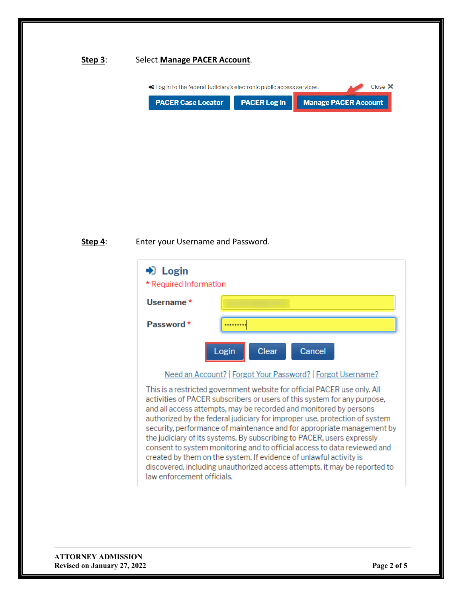#### **Step 3**: Select **Manage PACER Account**.



#### **Step 4**: Enter your Username and Password.

| $\blacktriangleright$ Login<br>* Required Information |                          |  |
|-------------------------------------------------------|--------------------------|--|
| Username *                                            |                          |  |
| Password *                                            |                          |  |
|                                                       | Clear<br>Cancel<br>Login |  |
|                                                       | $\sim$                   |  |

Need an Account? | Forgot Your Password? | Forgot Username?

This is a restricted government website for official PACER use only. All activities of PACER subscribers or users of this system for any purpose, and all access attempts, may be recorded and monitored by persons authorized by the federal judiciary for improper use, protection of system security, performance of maintenance and for appropriate management by the judiciary of its systems. By subscribing to PACER, users expressly consent to system monitoring and to official access to data reviewed and created by them on the system. If evidence of unlawful activity is discovered, including unauthorized access attempts, it may be reported to law enforcement officials.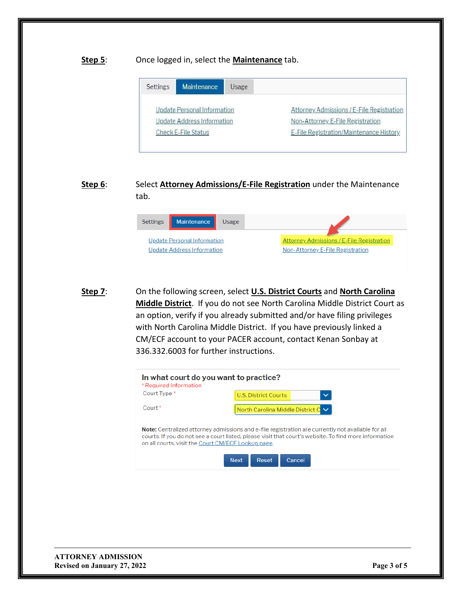#### **Step 5**: Once logged in, select the **Maintenance** tab.

| Settings                          | Maintenance | Usage |                                           |
|-----------------------------------|-------------|-------|-------------------------------------------|
| Update Personal Information       |             |       | Attorney Admissions / E-File Registration |
| <b>Update Address Information</b> |             |       | Non-Attorney E-File Registration          |
| <b>Check E-File Status</b>        |             |       | E-File Registration/Maintenance History   |

## **Step 6**: Select **Attorney Admissions/E-File Registration** under the Maintenance tab.



**Step 7**: On the following screen, select **U.S. District Courts** and **North Carolina Middle District**. If you do not see North Carolina Middle District Court as an option, verify if you already submitted and/or have filing privileges with North Carolina Middle District. If you have previously linked a CM/ECF account to your PACER account, contact Kenan Sonbay at 336.332.6003 for further instructions.

| In what court do you want to practice?<br>* Required Information                                                                                                                                                                                                        |                                             |  |
|-------------------------------------------------------------------------------------------------------------------------------------------------------------------------------------------------------------------------------------------------------------------------|---------------------------------------------|--|
| Court Type *                                                                                                                                                                                                                                                            | <b>U.S. District Courts</b><br>$\checkmark$ |  |
| Court <sup>*</sup>                                                                                                                                                                                                                                                      | North Carolina Middle District $C \vee$     |  |
| <b>Note:</b> Centralized attorney admissions and e-file registration are currently not available for all<br>courts. If you do not see a court listed, please visit that court's website. To find more information<br>on all courts, visit the Court CM/ECF Lookup page. |                                             |  |
|                                                                                                                                                                                                                                                                         | <b>Next</b><br>Reset<br>Cancel              |  |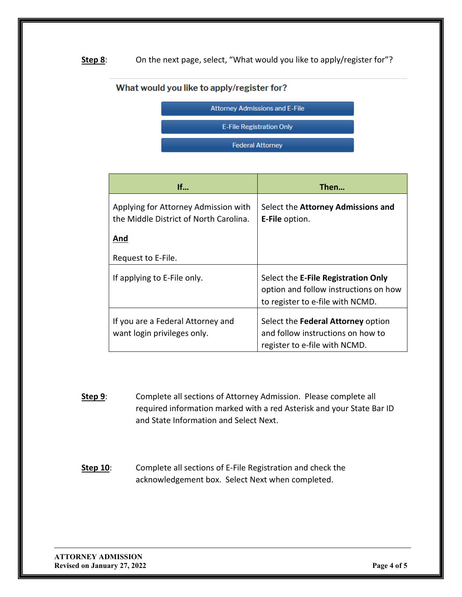### Step 8: On the next page, select, "What would you like to apply/register for"?

## What would you like to apply/register for?



| If                                                                             | Then                                                                                                             |
|--------------------------------------------------------------------------------|------------------------------------------------------------------------------------------------------------------|
| Applying for Attorney Admission with<br>the Middle District of North Carolina. | Select the Attorney Admissions and<br><b>E-File option.</b>                                                      |
| And                                                                            |                                                                                                                  |
| Request to E-File.                                                             |                                                                                                                  |
| If applying to E-File only.                                                    | Select the E-File Registration Only<br>option and follow instructions on how<br>to register to e-file with NCMD. |
| If you are a Federal Attorney and<br>want login privileges only.               | Select the Federal Attorney option<br>and follow instructions on how to<br>register to e-file with NCMD.         |

- **Step 9:** Complete all sections of Attorney Admission. Please complete all required information marked with a red Asterisk and your State Bar ID and State Information and Select Next.
- **Step 10:** Complete all sections of E-File Registration and check the acknowledgement box. Select Next when completed.